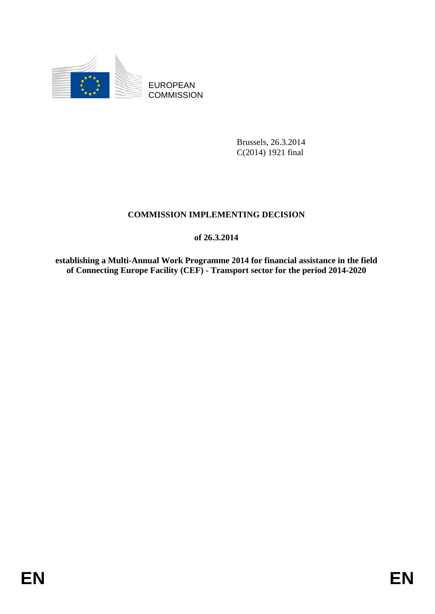

EUROPEAN **COMMISSION** 

> Brussels, 26.3.2014 C(2014) 1921 final

# **COMMISSION IMPLEMENTING DECISION**

**of 26.3.2014** 

**establishing a Multi-Annual Work Programme 2014 for financial assistance in the field of Connecting Europe Facility (CEF) - Transport sector for the period 2014-2020**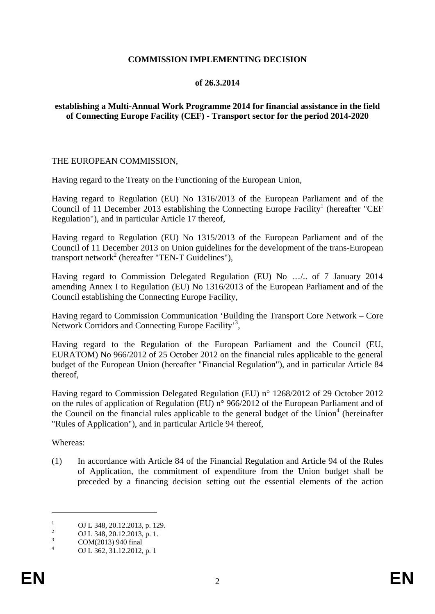## **COMMISSION IMPLEMENTING DECISION**

## **of 26.3.2014**

## **establishing a Multi-Annual Work Programme 2014 for financial assistance in the field of Connecting Europe Facility (CEF) - Transport sector for the period 2014-2020**

#### THE EUROPEAN COMMISSION,

Having regard to the Treaty on the Functioning of the European Union,

Having regard to Regulation (EU) No 1316/2013 of the European Parliament and of the Council of 11 December 2013 establishing the Connecting Europe Facility<sup>1</sup> (hereafter "CEF Regulation"), and in particular Article 17 thereof,

Having regard to Regulation (EU) No 1315/2013 of the European Parliament and of the Council of 11 December 2013 on Union guidelines for the development of the trans-European transport network<sup>2</sup> (hereafter "TEN-T Guidelines"),

Having regard to Commission Delegated Regulation (EU) No …/.. of 7 January 2014 amending Annex I to Regulation (EU) No 1316/2013 of the European Parliament and of the Council establishing the Connecting Europe Facility,

Having regard to Commission Communication 'Building the Transport Core Network – Core Network Corridors and Connecting Europe Facility'<sup>3</sup>,

Having regard to the Regulation of the European Parliament and the Council (EU, EURATOM) No 966/2012 of 25 October 2012 on the financial rules applicable to the general budget of the European Union (hereafter "Financial Regulation"), and in particular Article 84 thereof,

Having regard to Commission Delegated Regulation (EU) n° 1268/2012 of 29 October 2012 on the rules of application of Regulation (EU) n° 966/2012 of the European Parliament and of the Council on the financial rules applicable to the general budget of the Union<sup>4</sup> (hereinafter "Rules of Application"), and in particular Article 94 thereof,

Whereas:

1

(1) In accordance with Article 84 of the Financial Regulation and Article 94 of the Rules of Application, the commitment of expenditure from the Union budget shall be preceded by a financing decision setting out the essential elements of the action

<sup>1</sup> OJ L 348, 20.12.2013, p. 129. 2

OJ L 348, 20.12.2013, p. 1. 3

COM(2013) 940 final

<sup>4</sup> OJ L 362, 31.12.2012, p. 1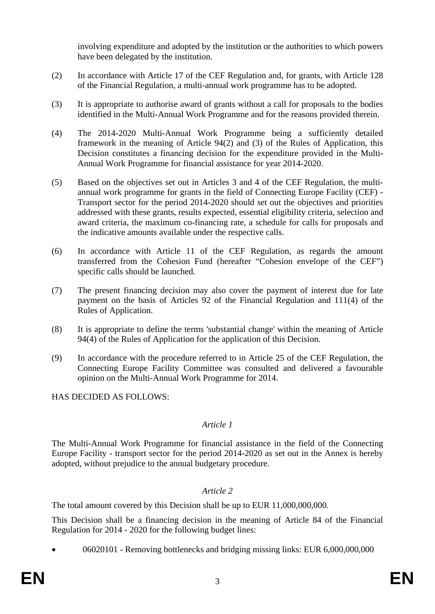involving expenditure and adopted by the institution or the authorities to which powers have been delegated by the institution.

- (2) In accordance with Article 17 of the CEF Regulation and, for grants, with Article 128 of the Financial Regulation, a multi-annual work programme has to be adopted.
- (3) It is appropriate to authorise award of grants without a call for proposals to the bodies identified in the Multi-Annual Work Programme and for the reasons provided therein.
- (4) The 2014-2020 Multi-Annual Work Programme being a sufficiently detailed framework in the meaning of Article 94(2) and (3) of the Rules of Application, this Decision constitutes a financing decision for the expenditure provided in the Multi-Annual Work Programme for financial assistance for year 2014-2020.
- (5) Based on the objectives set out in Articles 3 and 4 of the CEF Regulation, the multiannual work programme for grants in the field of Connecting Europe Facility (CEF) - Transport sector for the period 2014-2020 should set out the objectives and priorities addressed with these grants, results expected, essential eligibility criteria, selection and award criteria, the maximum co-financing rate, a schedule for calls for proposals and the indicative amounts available under the respective calls.
- (6) In accordance with Article 11 of the CEF Regulation, as regards the amount transferred from the Cohesion Fund (hereafter "Cohesion envelope of the CEF") specific calls should be launched.
- (7) The present financing decision may also cover the payment of interest due for late payment on the basis of Articles 92 of the Financial Regulation and 111(4) of the Rules of Application.
- (8) It is appropriate to define the terms 'substantial change' within the meaning of Article 94(4) of the Rules of Application for the application of this Decision.
- (9) In accordance with the procedure referred to in Article 25 of the CEF Regulation, the Connecting Europe Facility Committee was consulted and delivered a favourable opinion on the Multi-Annual Work Programme for 2014.

HAS DECIDED AS FOLLOWS:

## *Article 1*

The Multi-Annual Work Programme for financial assistance in the field of the Connecting Europe Facility - transport sector for the period 2014-2020 as set out in the Annex is hereby adopted, without prejudice to the annual budgetary procedure.

## *Article 2*

The total amount covered by this Decision shall be up to EUR 11,000,000,000.

This Decision shall be a financing decision in the meaning of Article 84 of the Financial Regulation for 2014 - 2020 for the following budget lines:

• 06020101 - Removing bottlenecks and bridging missing links: EUR 6,000,000,000